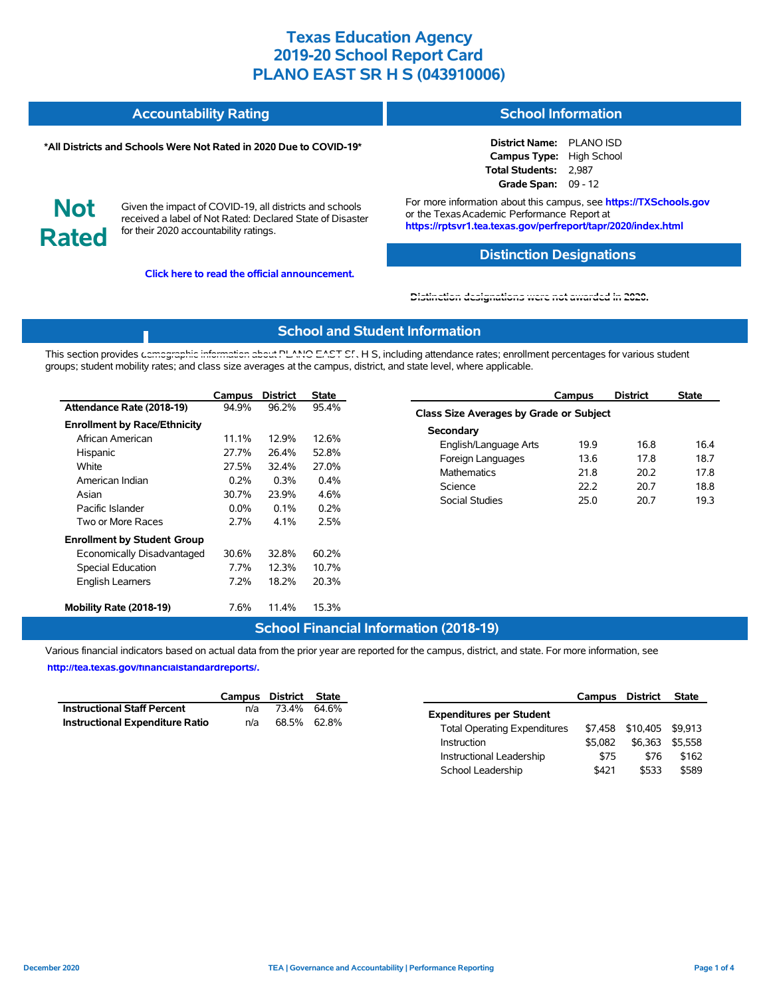#### **Accountability Rating School Information**

#### **\*All Districts and Schools Were Not Rated in 2020 Due to COVID-19\***

**District Name:** PLANO ISD **Campus Type:** High School **Total Students:** 2,987 **Grade Span:** 09 - 12

**Not Rated**

Given the impact of COVID-19, all districts and schools received a label of Not Rated: Declared State of Disaster for their 2020 accountability ratings.

**Click here to read the official announcement.**

For more information about this campus, see **https://TXSchools.gov** or the Texas Academic Performance Report at **https://rptsvr1.tea.texas.gov/perfreport/tapr/2020/index.html**

### **Distinction Designations**

#### **[Distinction designations were not awarded in 2020.](https://rptsvr1.tea.texas.gov/perfreport/tapr/2020/index.html)**

### **School and Student Information**

This section provides [demographic information about PLANO EAST SR](https://tea.texas.gov/about-tea/news-and-multimedia/correspondence/taa-letters/every-student-succeeds-act-essa-waiver-approval-2020-state-academic-accountability) H S, including attendance rates; enrollment percentages for various student groups; student mobility rates; and class size averages at the campus, district, and state level, where applicable.

|                                     | Campus   | <b>District</b> | <b>State</b> |
|-------------------------------------|----------|-----------------|--------------|
| Attendance Rate (2018-19)           | 94.9%    | 96.2%           | 95.4%        |
| <b>Enrollment by Race/Ethnicity</b> |          |                 |              |
| African American                    | $11.1\%$ | 12.9%           | 12.6%        |
| Hispanic                            | 27.7%    | 26.4%           | 52.8%        |
| White                               | 27.5%    | 32.4%           | 27.0%        |
| American Indian                     | 0.2%     | $0.3\%$         | 0.4%         |
| Asian                               | 30.7%    | 23.9%           | 4.6%         |
| Pacific Islander                    | $0.0\%$  | $0.1\%$         | 0.2%         |
| Two or More Races                   | 2.7%     | 4.1%            | 2.5%         |
| <b>Enrollment by Student Group</b>  |          |                 |              |
| Economically Disadvantaged          | 30.6%    | 32.8%           | 60.2%        |
| Special Education                   | 7.7%     | 12.3%           | 10.7%        |
| <b>English Learners</b>             | 7.2%     | 18.2%           | 20.3%        |
| Mobility Rate (2018-19)             | 7.6%     | 11.4%           | 15.3%        |

### **Campus District State Class Size Averages by Grade or Subject Secondary** English/Language Arts 19.9 16.8 16.4 Foreign Languages 13.6 17.8 18.7 Mathematics 21.8 20.2 17.8 Science 22.2 20.7 18.8 Social Studies 25.0 20.7 19.3

Instructional Leadership  $$75$  \$76 \$162 School Leadership  $$421$  \$533 \$589

## **School Financial Information (2018-19)**

Various financial indicators based on actual data from the prior year are reported for the campus, district, and state. For more information, see

**[http://tea.texas.gov/financialstandardreports/.](http://tea.texas.gov/financialstandardreports/)**

|                                        |     | Campus District State | Campus                              | District                 | State |
|----------------------------------------|-----|-----------------------|-------------------------------------|--------------------------|-------|
| <b>Instructional Staff Percent</b>     | n/a | 73.4% 64.6%           | <b>Expenditures per Student</b>     |                          |       |
| <b>Instructional Expenditure Ratio</b> | n/a | 68.5% 62.8%           | <b>Total Operating Expenditures</b> | \$7,458 \$10,405 \$9,913 |       |
|                                        |     |                       | \$5.082<br>Instruction              | \$6,363 \$5,558          |       |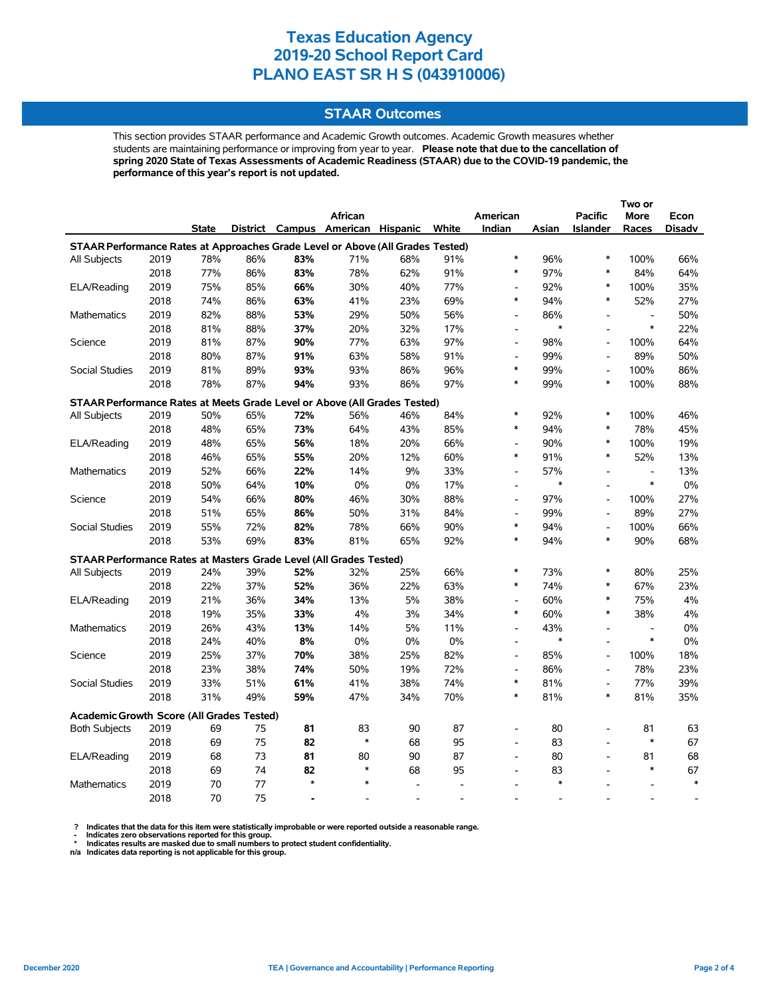## **STAAR Outcomes**

This section provides STAAR performance and Academic Growth outcomes. Academic Growth measures whether students are maintaining performance or improving from year to year. **Please note that due to the cancellation of spring 2020 State of Texas Assessments of Academic Readiness (STAAR) due to the COVID-19 pandemic, the performance of this year's report is not updated.**

|                                                                                |              |              |            |           | African                           |            |            | American                                   |               | <b>Pacific</b>                     | More                               | Econ          |
|--------------------------------------------------------------------------------|--------------|--------------|------------|-----------|-----------------------------------|------------|------------|--------------------------------------------|---------------|------------------------------------|------------------------------------|---------------|
|                                                                                |              | <b>State</b> |            |           | District Campus American Hispanic |            | White      | Indian                                     | Asian         | <b>Islander</b>                    | Races                              | <b>Disadv</b> |
| STAAR Performance Rates at Approaches Grade Level or Above (All Grades Tested) |              |              |            |           |                                   |            |            |                                            |               |                                    |                                    |               |
| All Subjects                                                                   | 2019         | 78%          | 86%        | 83%       | 71%                               | 68%        | 91%        | $\ast$                                     | 96%           | $\ast$                             | 100%                               | 66%           |
|                                                                                | 2018         | 77%          | 86%        | 83%       | 78%                               | 62%        | 91%        | $\ast$                                     | 97%           | $\ast$                             | 84%                                | 64%           |
| ELA/Reading                                                                    | 2019         | 75%          | 85%        | 66%       | 30%                               | 40%        | 77%        | $\blacksquare$                             | 92%           | *                                  | 100%                               | 35%           |
|                                                                                | 2018         | 74%          | 86%        | 63%       | 41%                               | 23%        | 69%        | $\ast$                                     | 94%           | $\ast$                             | 52%                                | 27%           |
| <b>Mathematics</b>                                                             | 2019         | 82%          | 88%        | 53%       | 29%                               | 50%        | 56%        | $\blacksquare$                             | 86%           | $\overline{a}$                     | $\overline{\phantom{a}}$           | 50%           |
|                                                                                | 2018         | 81%          | 88%        | 37%       | 20%                               | 32%        | 17%        | $\overline{\phantom{a}}$                   | $\ast$        | $\overline{a}$                     | $\ast$                             | 22%           |
| Science                                                                        | 2019         | 81%          | 87%        | 90%       | 77%                               | 63%        | 97%        | $\overline{\phantom{a}}$                   | 98%           | $\overline{a}$                     | 100%                               | 64%           |
|                                                                                | 2018         | 80%          | 87%        | 91%       | 63%                               | 58%        | 91%        | $\overline{a}$                             | 99%           | $\overline{a}$                     | 89%                                | 50%           |
| <b>Social Studies</b>                                                          | 2019         | 81%          | 89%        | 93%       | 93%                               | 86%        | 96%        | $\ast$                                     | 99%           | $\overline{a}$                     | 100%                               | 86%           |
|                                                                                | 2018         | 78%          | 87%        | 94%       | 93%                               | 86%        | 97%        | $\ast$                                     | 99%           | $\ast$                             | 100%                               | 88%           |
| STAAR Performance Rates at Meets Grade Level or Above (All Grades Tested)      |              |              |            |           |                                   |            |            |                                            |               |                                    |                                    |               |
| All Subjects                                                                   | 2019         | 50%          | 65%        | 72%       | 56%                               | 46%        | 84%        | $\ast$                                     | 92%           | $\ast$                             | 100%                               | 46%           |
|                                                                                | 2018         | 48%          | 65%        | 73%       | 64%                               | 43%        | 85%        | $\ast$                                     | 94%           | $\ast$                             | 78%                                | 45%           |
| ELA/Reading                                                                    | 2019         | 48%          | 65%        | 56%       | 18%                               | 20%        | 66%        | $\overline{a}$                             | 90%           | $\ast$                             | 100%                               | 19%           |
|                                                                                | 2018         | 46%          | 65%        | 55%       | 20%                               | 12%        | 60%        | $\ast$                                     | 91%           | $\ast$                             | 52%                                | 13%           |
| Mathematics                                                                    | 2019         | 52%          | 66%        | 22%       | 14%                               | 9%         | 33%        | $\overline{\phantom{a}}$                   | 57%           |                                    | $\overline{\phantom{a}}$           | 13%           |
|                                                                                | 2018         | 50%          | 64%        | 10%       | $0\%$                             | 0%         | 17%        | $\overline{\phantom{a}}$                   | $\ast$        | $\overline{a}$                     | $\ast$                             | 0%            |
| Science                                                                        | 2019         | 54%          | 66%        | 80%       | 46%                               | 30%        | 88%        | $\overline{\phantom{a}}$                   | 97%           | $\overline{a}$                     | 100%                               | 27%           |
|                                                                                | 2018         | 51%          | 65%        | 86%       | 50%                               | 31%        | 84%        | $\overline{\phantom{a}}$                   | 99%           | $\overline{a}$                     | 89%                                | 27%           |
| <b>Social Studies</b>                                                          | 2019         | 55%          | 72%        | 82%       | 78%                               | 66%        | 90%        | $\ast$                                     | 94%           | $\overline{a}$                     | 100%                               | 66%           |
|                                                                                | 2018         | 53%          | 69%        | 83%       | 81%                               | 65%        | 92%        | $\ast$                                     | 94%           | *                                  | 90%                                | 68%           |
| STAAR Performance Rates at Masters Grade Level (All Grades Tested)             |              |              |            |           |                                   |            |            |                                            |               |                                    |                                    |               |
|                                                                                |              |              |            | 52%       |                                   |            |            | $\ast$                                     | 73%           | $\ast$                             |                                    | 25%           |
| <b>All Subjects</b>                                                            | 2019<br>2018 | 24%<br>22%   | 39%<br>37% | 52%       | 32%<br>36%                        | 25%<br>22% | 66%<br>63% | $\ast$                                     | 74%           | *                                  | 80%<br>67%                         | 23%           |
|                                                                                |              | 21%          |            | 34%       |                                   | 5%         | 38%        | $\overline{\phantom{a}}$                   | 60%           | $\ast$                             | 75%                                | 4%            |
| ELA/Reading                                                                    | 2019         | 19%          | 36%        | 33%       | 13%<br>4%                         |            | 34%        | $\ast$                                     | 60%           | $\ast$                             | 38%                                | 4%            |
|                                                                                | 2018         |              | 35%        |           |                                   | 3%         |            |                                            |               |                                    |                                    |               |
| Mathematics                                                                    | 2019         | 26%          | 43%        | 13%<br>8% | 14%                               | 5%         | 11%<br>0%  | $\overline{a}$<br>$\overline{\phantom{a}}$ | 43%<br>$\ast$ | $\overline{a}$                     | $\overline{\phantom{a}}$<br>$\ast$ | 0%            |
| Science                                                                        | 2018<br>2019 | 24%<br>25%   | 40%<br>37% | 70%       | $0\%$<br>38%                      | 0%<br>25%  | 82%        | $\blacksquare$                             | 85%           | $\overline{a}$                     | 100%                               | 0%<br>18%     |
|                                                                                | 2018         | 23%          | 38%        | 74%       |                                   |            | 72%        |                                            | 86%           | $\overline{a}$                     | 78%                                | 23%           |
|                                                                                |              |              |            |           | 50%                               | 19%<br>38% | 74%        | $\overline{a}$<br>$\ast$                   | 81%           |                                    | 77%                                |               |
| Social Studies                                                                 | 2019         | 33%          | 51%        | 61%       | 41%                               |            |            | $\ast$                                     |               | $\overline{\phantom{a}}$<br>$\ast$ |                                    | 39%           |
|                                                                                | 2018         | 31%          | 49%        | 59%       | 47%                               | 34%        | 70%        |                                            | 81%           |                                    | 81%                                | 35%           |
| <b>Academic Growth Score (All Grades Tested)</b>                               |              |              |            |           |                                   |            |            |                                            |               |                                    |                                    |               |
| <b>Both Subjects</b>                                                           | 2019         | 69           | 75         | 81        | 83                                | 90         | 87         |                                            | 80            |                                    | 81                                 | 63            |
|                                                                                | 2018         | 69           | 75         | 82        | $\ast$                            | 68         | 95         | $\overline{a}$                             | 83            |                                    | $\ast$                             | 67            |
| ELA/Reading                                                                    | 2019         | 68           | 73         | 81        | 80                                | 90         | 87         | $\overline{a}$                             | 80            | $\overline{a}$                     | 81                                 | 68            |
|                                                                                | 2018         | 69           | 74         | 82        | $\ast$                            | 68         | 95         | $\overline{a}$                             | 83            |                                    | $\ast$                             | 67            |
| <b>Mathematics</b>                                                             | 2019         | 70           | 77         | $\star$   | $\ast$                            | $\sim$     |            |                                            | *             |                                    |                                    | $\ast$        |
|                                                                                | 2018         | 70           | 75         |           |                                   |            |            |                                            |               |                                    |                                    |               |

? Indicates that the data for this item were statistically improbable or were reported outside a reasonable range.<br>- Indicates zero observations reported for this group.<br>\* Indicates results are masked due to small numbers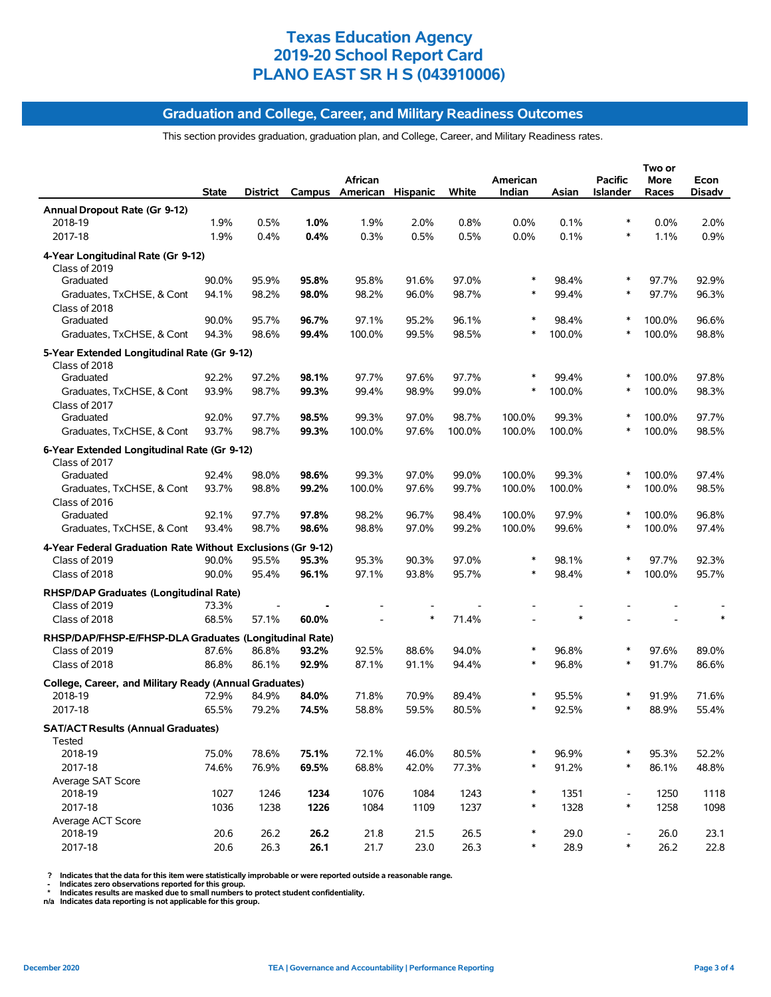### **Graduation and College, Career, and Military Readiness Outcomes**

This section provides graduation, graduation plan, and College, Career, and Military Readiness rates.

|                                                              |              |          |       | African                  |        |        | American |        | <b>Pacific</b>           | Two or<br>More | Econ          |
|--------------------------------------------------------------|--------------|----------|-------|--------------------------|--------|--------|----------|--------|--------------------------|----------------|---------------|
|                                                              | <b>State</b> | District |       | Campus American Hispanic |        | White  | Indian   | Asian  | <b>Islander</b>          | Races          | <b>Disadv</b> |
| Annual Dropout Rate (Gr 9-12)                                |              |          |       |                          |        |        |          |        |                          |                |               |
| 2018-19                                                      | 1.9%         | 0.5%     | 1.0%  | 1.9%                     | 2.0%   | 0.8%   | $0.0\%$  | 0.1%   | ∗                        | 0.0%           | 2.0%          |
| 2017-18                                                      | 1.9%         | 0.4%     | 0.4%  | 0.3%                     | 0.5%   | 0.5%   | 0.0%     | 0.1%   | $\ast$                   | 1.1%           | 0.9%          |
| 4-Year Longitudinal Rate (Gr 9-12)                           |              |          |       |                          |        |        |          |        |                          |                |               |
| Class of 2019                                                |              |          |       |                          |        |        |          |        |                          |                |               |
| Graduated                                                    | 90.0%        | 95.9%    | 95.8% | 95.8%                    | 91.6%  | 97.0%  | $\ast$   | 98.4%  | ∗                        | 97.7%          | 92.9%         |
| Graduates, TxCHSE, & Cont                                    | 94.1%        | 98.2%    | 98.0% | 98.2%                    | 96.0%  | 98.7%  | $\ast$   | 99.4%  | ∗                        | 97.7%          | 96.3%         |
| Class of 2018                                                |              |          |       |                          |        |        |          |        |                          |                |               |
| Graduated                                                    | 90.0%        | 95.7%    | 96.7% | 97.1%                    | 95.2%  | 96.1%  | $\ast$   | 98.4%  | *                        | 100.0%         | 96.6%         |
| Graduates, TxCHSE, & Cont                                    | 94.3%        | 98.6%    | 99.4% | 100.0%                   | 99.5%  | 98.5%  | $\ast$   | 100.0% | $\ast$                   | 100.0%         | 98.8%         |
| 5-Year Extended Longitudinal Rate (Gr 9-12)<br>Class of 2018 |              |          |       |                          |        |        |          |        |                          |                |               |
| Graduated                                                    | 92.2%        | 97.2%    | 98.1% | 97.7%                    | 97.6%  | 97.7%  |          | 99.4%  |                          | 100.0%         | 97.8%         |
| Graduates, TxCHSE, & Cont                                    | 93.9%        | 98.7%    | 99.3% | 99.4%                    | 98.9%  | 99.0%  | $\ast$   | 100.0% | $\ast$                   | 100.0%         | 98.3%         |
| Class of 2017                                                |              |          |       |                          |        |        |          |        |                          |                |               |
| Graduated                                                    | 92.0%        | 97.7%    | 98.5% | 99.3%                    | 97.0%  | 98.7%  | 100.0%   | 99.3%  | ∗                        | 100.0%         | 97.7%         |
| Graduates, TxCHSE, & Cont                                    | 93.7%        | 98.7%    | 99.3% | 100.0%                   | 97.6%  | 100.0% | 100.0%   | 100.0% |                          | 100.0%         | 98.5%         |
| 6-Year Extended Longitudinal Rate (Gr 9-12)                  |              |          |       |                          |        |        |          |        |                          |                |               |
| Class of 2017                                                |              |          |       |                          |        |        |          |        |                          |                |               |
| Graduated                                                    | 92.4%        | 98.0%    | 98.6% | 99.3%                    | 97.0%  | 99.0%  | 100.0%   | 99.3%  | $\ast$                   | 100.0%         | 97.4%         |
| Graduates, TxCHSE, & Cont                                    | 93.7%        | 98.8%    | 99.2% | 100.0%                   | 97.6%  | 99.7%  | 100.0%   | 100.0% | $\ast$                   | 100.0%         | 98.5%         |
| Class of 2016                                                |              |          |       |                          |        |        |          |        |                          |                |               |
| Graduated                                                    | 92.1%        | 97.7%    | 97.8% | 98.2%                    | 96.7%  | 98.4%  | 100.0%   | 97.9%  |                          | 100.0%         | 96.8%         |
| Graduates, TxCHSE, & Cont                                    | 93.4%        | 98.7%    | 98.6% | 98.8%                    | 97.0%  | 99.2%  | 100.0%   | 99.6%  | *                        | 100.0%         | 97.4%         |
| 4-Year Federal Graduation Rate Without Exclusions (Gr 9-12)  |              |          |       |                          |        |        |          |        |                          |                |               |
| Class of 2019                                                | 90.0%        | 95.5%    | 95.3% | 95.3%                    | 90.3%  | 97.0%  | $\ast$   | 98.1%  |                          | 97.7%          | 92.3%         |
| Class of 2018                                                | 90.0%        | 95.4%    | 96.1% | 97.1%                    | 93.8%  | 95.7%  | $\ast$   | 98.4%  |                          | 100.0%         | 95.7%         |
| RHSP/DAP Graduates (Longitudinal Rate)                       |              |          |       |                          |        |        |          |        |                          |                |               |
| Class of 2019                                                | 73.3%        |          |       |                          |        |        |          |        |                          |                |               |
| Class of 2018                                                | 68.5%        | 57.1%    | 60.0% |                          | $\ast$ | 71.4%  |          | $\ast$ |                          |                |               |
| RHSP/DAP/FHSP-E/FHSP-DLA Graduates (Longitudinal Rate)       |              |          |       |                          |        |        |          |        |                          |                |               |
| Class of 2019                                                | 87.6%        | 86.8%    | 93.2% | 92.5%                    | 88.6%  | 94.0%  | $\ast$   | 96.8%  |                          | 97.6%          | 89.0%         |
| Class of 2018                                                | 86.8%        | 86.1%    | 92.9% | 87.1%                    | 91.1%  | 94.4%  | $\ast$   | 96.8%  | ∗                        | 91.7%          | 86.6%         |
| College, Career, and Military Ready (Annual Graduates)       |              |          |       |                          |        |        |          |        |                          |                |               |
| 2018-19                                                      | 72.9%        | 84.9%    | 84.0% | 71.8%                    | 70.9%  | 89.4%  | $\ast$   | 95.5%  |                          | 91.9%          | 71.6%         |
| 2017-18                                                      | 65.5%        | 79.2%    | 74.5% | 58.8%                    | 59.5%  | 80.5%  |          | 92.5%  |                          | 88.9%          | 55.4%         |
| <b>SAT/ACT Results (Annual Graduates)</b>                    |              |          |       |                          |        |        |          |        |                          |                |               |
| Tested                                                       |              |          |       |                          |        |        |          |        |                          |                |               |
| 2018-19                                                      | 75.0%        | 78.6%    | 75.1% | 72.1%                    | 46.0%  | 80.5%  | *        | 96.9%  | ∗                        | 95.3%          | 52.2%         |
| 2017-18                                                      | 74.6%        | 76.9%    | 69.5% | 68.8%                    | 42.0%  | 77.3%  | $\ast$   | 91.2%  | $\ast$                   | 86.1%          | 48.8%         |
| Average SAT Score                                            |              |          |       |                          |        |        |          |        |                          |                |               |
| 2018-19                                                      | 1027         | 1246     | 1234  | 1076                     | 1084   | 1243   | $\ast$   | 1351   | $\overline{\phantom{a}}$ | 1250           | 1118          |
| 2017-18                                                      | 1036         | 1238     | 1226  | 1084                     | 1109   | 1237   | $\ast$   | 1328   | $\ast$                   | 1258           | 1098          |
| Average ACT Score<br>2018-19                                 | 20.6         | 26.2     | 26.2  | 21.8                     | 21.5   | 26.5   | $\ast$   | 29.0   | $\overline{\phantom{a}}$ | 26.0           | 23.1          |
| 2017-18                                                      | 20.6         | 26.3     | 26.1  | 21.7                     | 23.0   | 26.3   | $\ast$   | 28.9   | $\ast$                   | 26.2           | 22.8          |
|                                                              |              |          |       |                          |        |        |          |        |                          |                |               |

? Indicates that the data for this item were statistically improbable or were reported outside a reasonable range.<br>- Indicates zero observations reported for this group.<br>\* Indicates results are masked due to small numbers